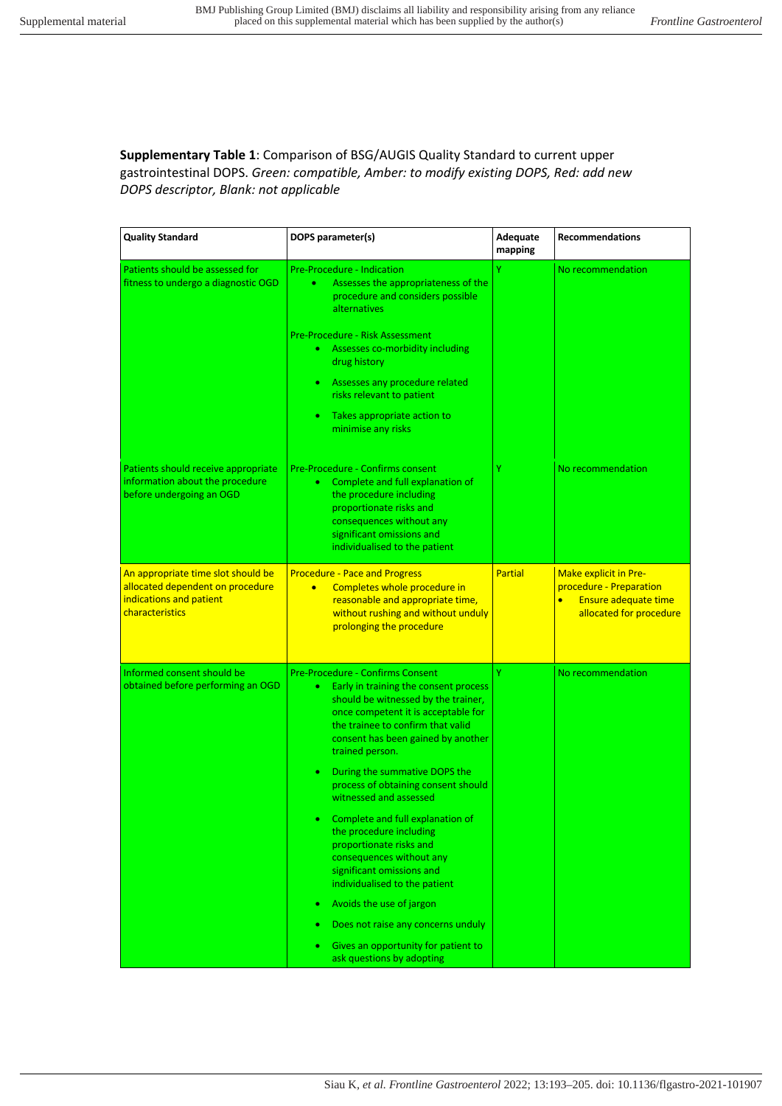**Supplementary Table 1**: Comparison of BSG/AUGIS Quality Standard to current upper gastrointestinal DOPS. *Green: compatible, Amber: to modify existing DOPS, Red: add new DOPS descriptor, Blank: not applicable*

| <b>Quality Standard</b>                                                                                              | DOPS parameter(s)                                                                                                                                                                                                                                                                                                                                                                                                                                                                                                                                                                                                                                                                                   | Adequate<br>mapping | <b>Recommendations</b>                                                                                                         |
|----------------------------------------------------------------------------------------------------------------------|-----------------------------------------------------------------------------------------------------------------------------------------------------------------------------------------------------------------------------------------------------------------------------------------------------------------------------------------------------------------------------------------------------------------------------------------------------------------------------------------------------------------------------------------------------------------------------------------------------------------------------------------------------------------------------------------------------|---------------------|--------------------------------------------------------------------------------------------------------------------------------|
| Patients should be assessed for<br>fitness to undergo a diagnostic OGD                                               | <b>Pre-Procedure - Indication</b><br>Assesses the appropriateness of the<br>۰<br>procedure and considers possible<br>alternatives<br>Pre-Procedure - Risk Assessment<br>Assesses co-morbidity including<br>$\bullet$<br>drug history<br>Assesses any procedure related<br>$\bullet$<br>risks relevant to patient<br>Takes appropriate action to<br>٠<br>minimise any risks                                                                                                                                                                                                                                                                                                                          | Ÿ                   | No recommendation                                                                                                              |
| Patients should receive appropriate<br>information about the procedure<br>before undergoing an OGD                   | Pre-Procedure - Confirms consent<br>Complete and full explanation of<br>$\bullet$<br>the procedure including<br>proportionate risks and<br>consequences without any<br>significant omissions and<br>individualised to the patient                                                                                                                                                                                                                                                                                                                                                                                                                                                                   | Ÿ                   | No recommendation                                                                                                              |
| An appropriate time slot should be<br>allocated dependent on procedure<br>indications and patient<br>characteristics | <b>Procedure - Pace and Progress</b><br>Completes whole procedure in<br>$\bullet$<br>reasonable and appropriate time,<br>without rushing and without unduly<br>prolonging the procedure                                                                                                                                                                                                                                                                                                                                                                                                                                                                                                             | <b>Partial</b>      | <b>Make explicit in Pre-</b><br>procedure - Preparation<br>$\bullet$<br><b>Ensure adequate time</b><br>allocated for procedure |
| Informed consent should be<br>obtained before performing an OGD                                                      | Pre-Procedure - Confirms Consent<br>Early in training the consent process<br>٠<br>should be witnessed by the trainer,<br>once competent it is acceptable for<br>the trainee to confirm that valid<br>consent has been gained by another<br>trained person.<br>During the summative DOPS the<br>process of obtaining consent should<br>witnessed and assessed<br>Complete and full explanation of<br>the procedure including<br>proportionate risks and<br>consequences without any<br>significant omissions and<br>individualised to the patient<br>Avoids the use of jargon<br>$\bullet$<br>Does not raise any concerns unduly<br>Gives an opportunity for patient to<br>ask questions by adopting | Ÿ                   | No recommendation                                                                                                              |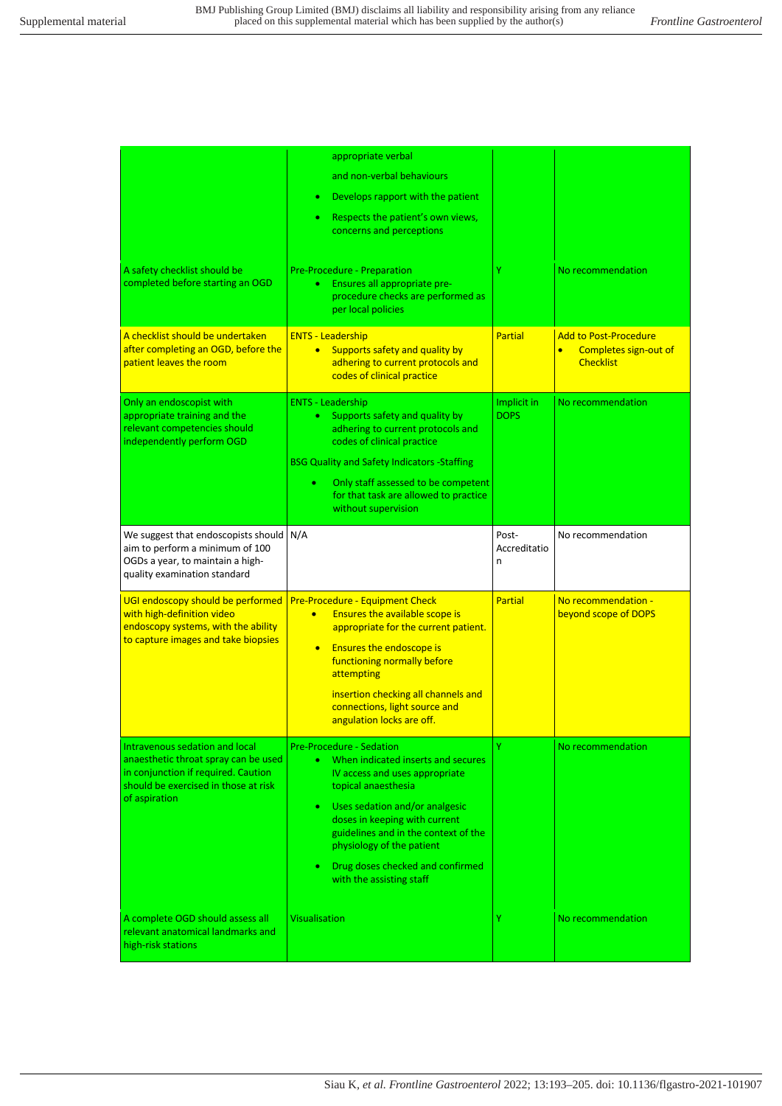| A safety checklist should be<br>completed before starting an OGD<br>A checklist should be undertaken<br>after completing an OGD, before the                            | appropriate verbal<br>and non-verbal behaviours<br>Develops rapport with the patient<br>Respects the patient's own views,<br>concerns and perceptions<br>Pre-Procedure - Preparation<br>Ensures all appropriate pre-<br>$\bullet$<br>procedure checks are performed as<br>per local policies<br><b>ENTS - Leadership</b>                                         | Ÿ<br><b>Partial</b>        | No recommendation<br><b>Add to Post-Procedure</b>      |
|------------------------------------------------------------------------------------------------------------------------------------------------------------------------|------------------------------------------------------------------------------------------------------------------------------------------------------------------------------------------------------------------------------------------------------------------------------------------------------------------------------------------------------------------|----------------------------|--------------------------------------------------------|
| patient leaves the room                                                                                                                                                | Supports safety and quality by<br>$\bullet$<br>adhering to current protocols and<br>codes of clinical practice                                                                                                                                                                                                                                                   |                            | Completes sign-out of<br>$\bullet$<br><b>Checklist</b> |
| Only an endoscopist with<br>appropriate training and the<br>relevant competencies should<br>independently perform OGD                                                  | <b>ENTS - Leadership</b><br>Supports safety and quality by<br>$\bullet$<br>adhering to current protocols and<br>codes of clinical practice<br><b>BSG Quality and Safety Indicators - Staffing</b><br>Only staff assessed to be competent<br>٠<br>for that task are allowed to practice<br>without supervision                                                    | Implicit in<br><b>DOPS</b> | No recommendation                                      |
| We suggest that endoscopists should<br>aim to perform a minimum of 100<br>OGDs a year, to maintain a high-<br>quality examination standard                             | N/A                                                                                                                                                                                                                                                                                                                                                              | Post-<br>Accreditatio<br>n | No recommendation                                      |
| UGI endoscopy should be performed<br>with high-definition video<br>endoscopy systems, with the ability<br>to capture images and take biopsies                          | <b>Pre-Procedure - Equipment Check</b><br><b>Ensures the available scope is</b><br>$\bullet$<br>appropriate for the current patient.<br><b>Ensures the endoscope is</b><br>$\bullet$<br>functioning normally before<br>attempting<br>insertion checking all channels and<br>connections, light source and<br>angulation locks are off.                           | <b>Partial</b>             | No recommendation -<br>beyond scope of DOPS            |
| Intravenous sedation and local<br>anaesthetic throat spray can be used<br>in conjunction if required. Caution<br>should be exercised in those at risk<br>of aspiration | <b>Pre-Procedure - Sedation</b><br>When indicated inserts and secures<br>IV access and uses appropriate<br>topical anaesthesia<br>Uses sedation and/or analgesic<br>$\bullet$<br>doses in keeping with current<br>guidelines and in the context of the<br>physiology of the patient<br>Drug doses checked and confirmed<br>$\bullet$<br>with the assisting staff | Ÿ                          | No recommendation                                      |
| A complete OGD should assess all<br>relevant anatomical landmarks and<br>high-risk stations                                                                            | <b>Visualisation</b>                                                                                                                                                                                                                                                                                                                                             | Y                          | No recommendation                                      |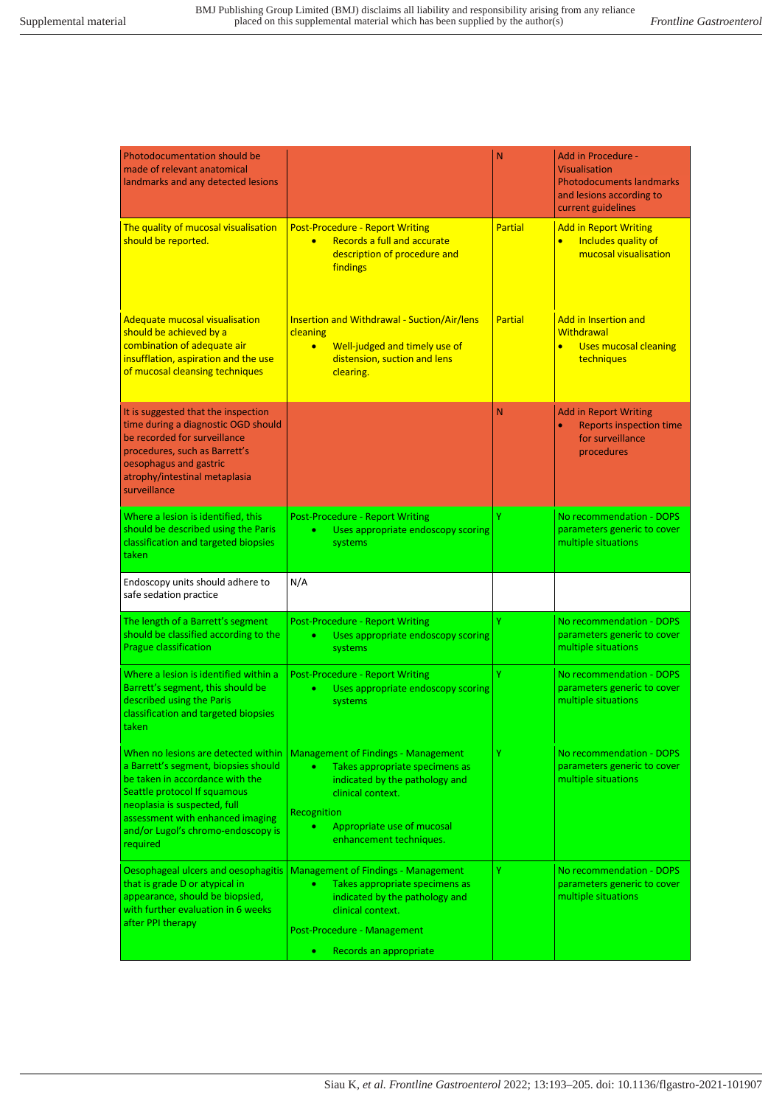| The quality of mucosal visualisation<br><b>Post-Procedure - Report Writing</b><br>Partial<br><b>Add in Report Writing</b><br>should be reported.<br>Records a full and accurate<br>Includes quality of<br>$\bullet$<br>$\bullet$<br>mucosal visualisation<br>description of procedure and<br>findings<br><b>Adequate mucosal visualisation</b><br><b>Insertion and Withdrawal - Suction/Air/lens</b><br>Partial<br><b>Add in Insertion and</b><br>should be achieved by a<br><b>Withdrawal</b><br>cleaning<br>combination of adequate air<br>Well-judged and timely use of<br><b>Uses mucosal cleaning</b><br>$\bullet$<br>insufflation, aspiration and the use<br>distension, suction and lens<br>techniques<br>of mucosal cleansing techniques<br>clearing.<br>It is suggested that the inspection<br>N<br><b>Add in Report Writing</b><br>time during a diagnostic OGD should<br>be recorded for surveillance<br>for surveillance<br>procedures, such as Barrett's<br>procedures<br>oesophagus and gastric<br>atrophy/intestinal metaplasia<br>surveillance<br>Ÿ<br>Where a lesion is identified, this<br>No recommendation - DOPS<br><b>Post-Procedure - Report Writing</b><br>should be described using the Paris<br>Uses appropriate endoscopy scoring<br>parameters generic to cover<br>٠<br>classification and targeted biopsies<br>multiple situations<br>systems<br>taken<br>N/A<br>Endoscopy units should adhere to<br>safe sedation practice<br>Ÿ<br>No recommendation - DOPS<br>The length of a Barrett's segment<br><b>Post-Procedure - Report Writing</b><br>should be classified according to the<br>parameters generic to cover<br>Uses appropriate endoscopy scoring<br>٠<br>Prague classification<br>multiple situations<br>systems<br>Where a lesion is identified within a<br>Y<br><b>Post-Procedure - Report Writing</b><br>No recommendation - DOPS<br>Barrett's segment, this should be<br>Uses appropriate endoscopy scoring<br>parameters generic to cover<br>٠ | <b>Photodocumentation should be</b><br>made of relevant anatomical<br>landmarks and any detected lesions |                   | N | <b>Add in Procedure -</b><br><b>Visualisation</b><br><b>Photodocuments landmarks</b><br>and lesions according to<br>current guidelines |
|-------------------------------------------------------------------------------------------------------------------------------------------------------------------------------------------------------------------------------------------------------------------------------------------------------------------------------------------------------------------------------------------------------------------------------------------------------------------------------------------------------------------------------------------------------------------------------------------------------------------------------------------------------------------------------------------------------------------------------------------------------------------------------------------------------------------------------------------------------------------------------------------------------------------------------------------------------------------------------------------------------------------------------------------------------------------------------------------------------------------------------------------------------------------------------------------------------------------------------------------------------------------------------------------------------------------------------------------------------------------------------------------------------------------------------------------------------------------------------------------------------------------------------------------------------------------------------------------------------------------------------------------------------------------------------------------------------------------------------------------------------------------------------------------------------------------------------------------------------------------------------------------------------------------------------------------------------------------------------------------|----------------------------------------------------------------------------------------------------------|-------------------|---|----------------------------------------------------------------------------------------------------------------------------------------|
|                                                                                                                                                                                                                                                                                                                                                                                                                                                                                                                                                                                                                                                                                                                                                                                                                                                                                                                                                                                                                                                                                                                                                                                                                                                                                                                                                                                                                                                                                                                                                                                                                                                                                                                                                                                                                                                                                                                                                                                           |                                                                                                          |                   |   |                                                                                                                                        |
|                                                                                                                                                                                                                                                                                                                                                                                                                                                                                                                                                                                                                                                                                                                                                                                                                                                                                                                                                                                                                                                                                                                                                                                                                                                                                                                                                                                                                                                                                                                                                                                                                                                                                                                                                                                                                                                                                                                                                                                           |                                                                                                          |                   |   |                                                                                                                                        |
|                                                                                                                                                                                                                                                                                                                                                                                                                                                                                                                                                                                                                                                                                                                                                                                                                                                                                                                                                                                                                                                                                                                                                                                                                                                                                                                                                                                                                                                                                                                                                                                                                                                                                                                                                                                                                                                                                                                                                                                           |                                                                                                          |                   |   | <b>Reports inspection time</b>                                                                                                         |
|                                                                                                                                                                                                                                                                                                                                                                                                                                                                                                                                                                                                                                                                                                                                                                                                                                                                                                                                                                                                                                                                                                                                                                                                                                                                                                                                                                                                                                                                                                                                                                                                                                                                                                                                                                                                                                                                                                                                                                                           |                                                                                                          |                   |   |                                                                                                                                        |
|                                                                                                                                                                                                                                                                                                                                                                                                                                                                                                                                                                                                                                                                                                                                                                                                                                                                                                                                                                                                                                                                                                                                                                                                                                                                                                                                                                                                                                                                                                                                                                                                                                                                                                                                                                                                                                                                                                                                                                                           |                                                                                                          |                   |   |                                                                                                                                        |
|                                                                                                                                                                                                                                                                                                                                                                                                                                                                                                                                                                                                                                                                                                                                                                                                                                                                                                                                                                                                                                                                                                                                                                                                                                                                                                                                                                                                                                                                                                                                                                                                                                                                                                                                                                                                                                                                                                                                                                                           |                                                                                                          |                   |   |                                                                                                                                        |
| classification and targeted biopsies<br>taken                                                                                                                                                                                                                                                                                                                                                                                                                                                                                                                                                                                                                                                                                                                                                                                                                                                                                                                                                                                                                                                                                                                                                                                                                                                                                                                                                                                                                                                                                                                                                                                                                                                                                                                                                                                                                                                                                                                                             | described using the Paris                                                                                | systems           |   | multiple situations                                                                                                                    |
| Y<br>When no lesions are detected within<br><b>Management of Findings - Management</b><br>No recommendation - DOPS<br>a Barrett's segment, biopsies should<br>Takes appropriate specimens as<br>٠<br>be taken in accordance with the<br>multiple situations<br>indicated by the pathology and<br>Seattle protocol If squamous<br>clinical context.<br>neoplasia is suspected, full<br>Recognition<br>assessment with enhanced imaging<br>Appropriate use of mucosal<br>and/or Lugol's chromo-endoscopy is<br>enhancement techniques.<br>required                                                                                                                                                                                                                                                                                                                                                                                                                                                                                                                                                                                                                                                                                                                                                                                                                                                                                                                                                                                                                                                                                                                                                                                                                                                                                                                                                                                                                                          |                                                                                                          |                   |   | parameters generic to cover                                                                                                            |
| Y<br><b>Management of Findings - Management</b><br>No recommendation - DOPS<br>Oesophageal ulcers and oesophagitis<br>that is grade D or atypical in<br>Takes appropriate specimens as<br>$\bullet$<br>appearance, should be biopsied,<br>indicated by the pathology and<br>multiple situations                                                                                                                                                                                                                                                                                                                                                                                                                                                                                                                                                                                                                                                                                                                                                                                                                                                                                                                                                                                                                                                                                                                                                                                                                                                                                                                                                                                                                                                                                                                                                                                                                                                                                           | with further evaluation in 6 weeks<br>after PPI therapy                                                  | clinical context. |   | parameters generic to cover                                                                                                            |
| Post-Procedure - Management                                                                                                                                                                                                                                                                                                                                                                                                                                                                                                                                                                                                                                                                                                                                                                                                                                                                                                                                                                                                                                                                                                                                                                                                                                                                                                                                                                                                                                                                                                                                                                                                                                                                                                                                                                                                                                                                                                                                                               |                                                                                                          |                   |   |                                                                                                                                        |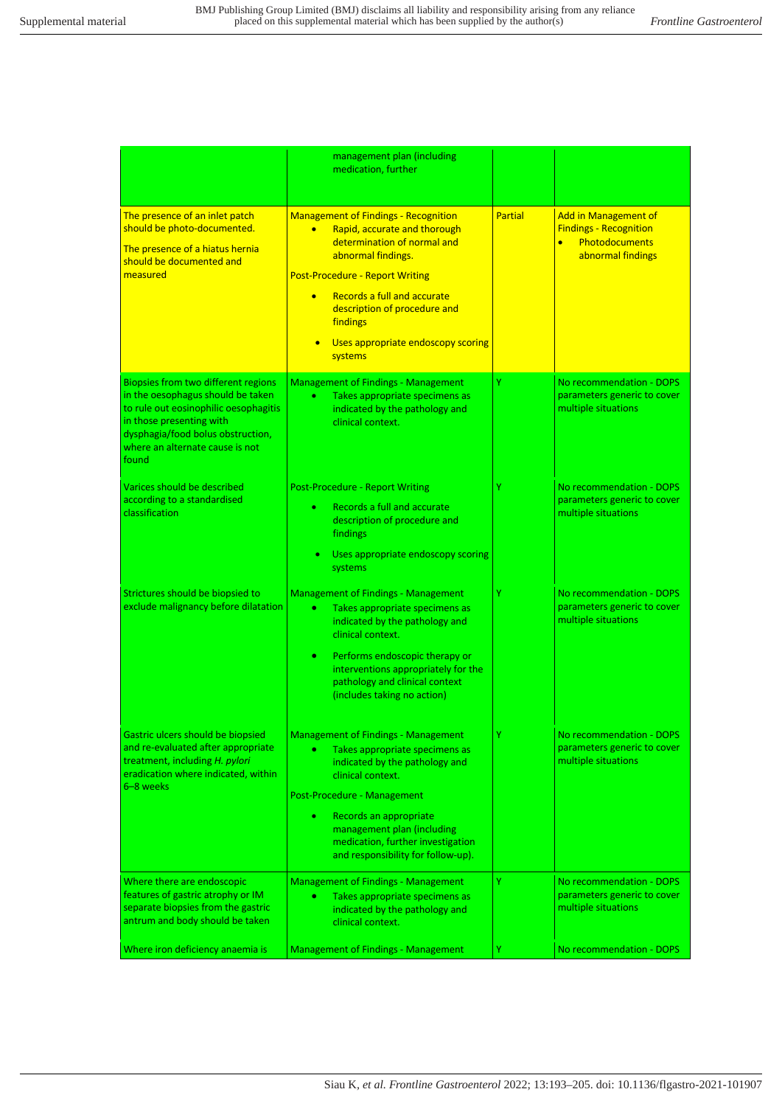|                                                                                                                                                                                                                                | management plan (including<br>medication, further                                                                                                                                                                                                                                                                                |                |                                                                                                                         |
|--------------------------------------------------------------------------------------------------------------------------------------------------------------------------------------------------------------------------------|----------------------------------------------------------------------------------------------------------------------------------------------------------------------------------------------------------------------------------------------------------------------------------------------------------------------------------|----------------|-------------------------------------------------------------------------------------------------------------------------|
| The presence of an inlet patch<br>should be photo-documented.<br>The presence of a hiatus hernia<br>should be documented and<br>measured                                                                                       | <b>Management of Findings - Recognition</b><br>Rapid, accurate and thorough<br>$\bullet$<br>determination of normal and<br>abnormal findings.<br><b>Post-Procedure - Report Writing</b><br>Records a full and accurate<br>$\bullet$<br>description of procedure and<br>findings<br>Uses appropriate endoscopy scoring<br>systems | <b>Partial</b> | <b>Add in Management of</b><br><b>Findings - Recognition</b><br><b>Photodocuments</b><br>$\bullet$<br>abnormal findings |
| Biopsies from two different regions<br>in the oesophagus should be taken<br>to rule out eosinophilic oesophagitis<br>in those presenting with<br>dysphagia/food bolus obstruction,<br>where an alternate cause is not<br>found | <b>Management of Findings - Management</b><br>۰<br>Takes appropriate specimens as<br>indicated by the pathology and<br>clinical context.                                                                                                                                                                                         | Y              | No recommendation - DOPS<br>parameters generic to cover<br>multiple situations                                          |
| Varices should be described<br>according to a standardised<br>classification                                                                                                                                                   | <b>Post-Procedure - Report Writing</b><br>Records a full and accurate<br>٠<br>description of procedure and<br><b>findings</b><br>Uses appropriate endoscopy scoring<br>systems                                                                                                                                                   | Ÿ              | No recommendation - DOPS<br>parameters generic to cover<br>multiple situations                                          |
| Strictures should be biopsied to<br>exclude malignancy before dilatation                                                                                                                                                       | <b>Management of Findings - Management</b><br>٠<br>Takes appropriate specimens as<br>indicated by the pathology and<br>clinical context.<br>Performs endoscopic therapy or<br>۰<br>interventions appropriately for the<br>pathology and clinical context<br>(includes taking no action)                                          | Y              | No recommendation - DOPS<br>parameters generic to cover<br>multiple situations                                          |
| Gastric ulcers should be biopsied<br>and re-evaluated after appropriate<br>treatment, including H. pylori<br>eradication where indicated, within<br>6-8 weeks                                                                  | Management of Findings - Management<br>۰<br>Takes appropriate specimens as<br>indicated by the pathology and<br>clinical context.<br>Post-Procedure - Management<br>Records an appropriate<br>٠<br>management plan (including<br>medication, further investigation<br>and responsibility for follow-up).                         |                | No recommendation - DOPS<br>parameters generic to cover<br>multiple situations                                          |
| Where there are endoscopic<br>features of gastric atrophy or IM<br>separate biopsies from the gastric<br>antrum and body should be taken                                                                                       | <b>Management of Findings - Management</b><br>Takes appropriate specimens as<br>٠<br>indicated by the pathology and<br>clinical context.                                                                                                                                                                                         | Y              | No recommendation - DOPS<br>parameters generic to cover<br>multiple situations                                          |
| Where iron deficiency anaemia is                                                                                                                                                                                               | <b>Management of Findings - Management</b>                                                                                                                                                                                                                                                                                       | Υ              | No recommendation - DOPS                                                                                                |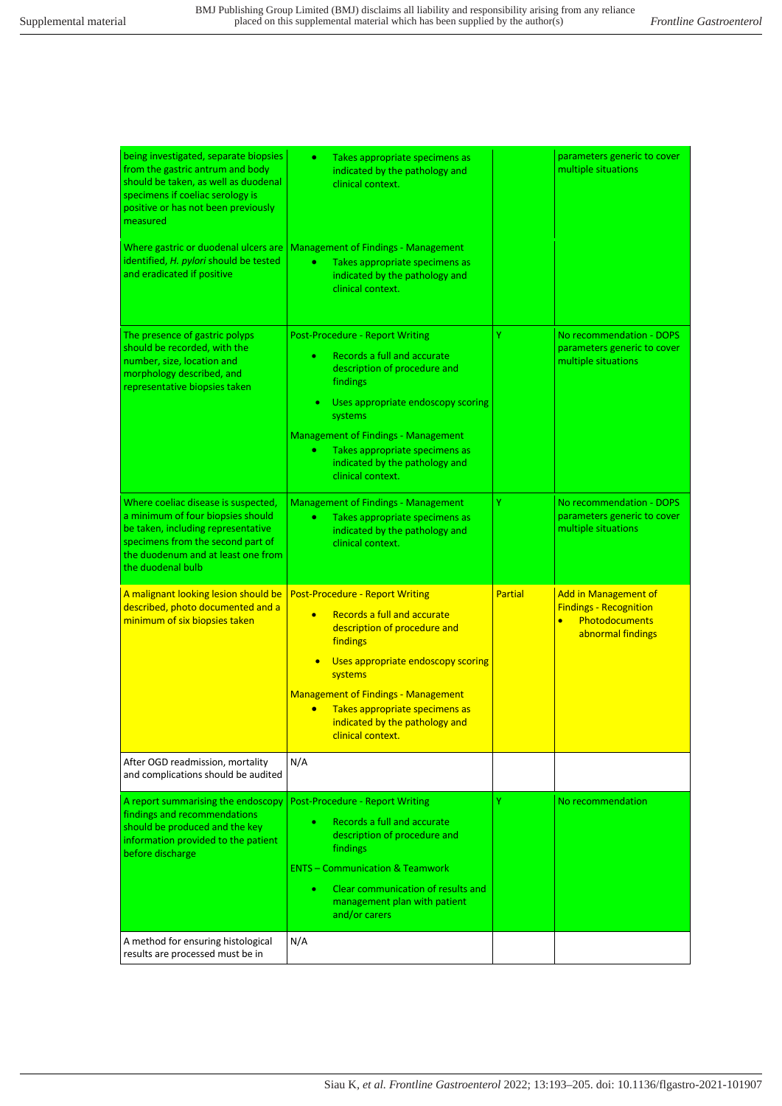| being investigated, separate biopsies<br>from the gastric antrum and body<br>should be taken, as well as duodenal<br>specimens if coeliac serology is<br>positive or has not been previously<br>measured       | $\bullet$<br>Takes appropriate specimens as<br>indicated by the pathology and<br>clinical context.                                                                                                                                                                                                                                  |                | parameters generic to cover<br>multiple situations                                                                      |
|----------------------------------------------------------------------------------------------------------------------------------------------------------------------------------------------------------------|-------------------------------------------------------------------------------------------------------------------------------------------------------------------------------------------------------------------------------------------------------------------------------------------------------------------------------------|----------------|-------------------------------------------------------------------------------------------------------------------------|
| Where gastric or duodenal ulcers are<br>identified, H. pylori should be tested<br>and eradicated if positive                                                                                                   | <b>Management of Findings - Management</b><br>Takes appropriate specimens as<br>۰<br>indicated by the pathology and<br>clinical context.                                                                                                                                                                                            |                |                                                                                                                         |
| The presence of gastric polyps<br>should be recorded, with the<br>number, size, location and<br>morphology described, and<br>representative biopsies taken                                                     | <b>Post-Procedure - Report Writing</b><br>Records a full and accurate<br>٠<br>description of procedure and<br>findings<br>Uses appropriate endoscopy scoring<br>systems<br><b>Management of Findings - Management</b><br>Takes appropriate specimens as<br>٠<br>indicated by the pathology and<br>clinical context.                 | Ÿ              | No recommendation - DOPS<br>parameters generic to cover<br>multiple situations                                          |
| Where coeliac disease is suspected,<br>a minimum of four biopsies should<br>be taken, including representative<br>specimens from the second part of<br>the duodenum and at least one from<br>the duodenal bulb | <b>Management of Findings - Management</b><br>Takes appropriate specimens as<br>$\bullet$<br>indicated by the pathology and<br>clinical context.                                                                                                                                                                                    | Ÿ              | No recommendation - DOPS<br>parameters generic to cover<br>multiple situations                                          |
| A malignant looking lesion should be<br>described, photo documented and a<br>minimum of six biopsies taken                                                                                                     | <b>Post-Procedure - Report Writing</b><br>Records a full and accurate<br>$\bullet$<br>description of procedure and<br>findings<br>Uses appropriate endoscopy scoring<br>systems<br><b>Management of Findings - Management</b><br>Takes appropriate specimens as<br>$\bullet$<br>indicated by the pathology and<br>clinical context. | <b>Partial</b> | <b>Add in Management of</b><br><b>Findings - Recognition</b><br><b>Photodocuments</b><br>$\bullet$<br>abnormal findings |
| After OGD readmission, mortality<br>and complications should be audited                                                                                                                                        | N/A                                                                                                                                                                                                                                                                                                                                 |                |                                                                                                                         |
| A report summarising the endoscopy<br>findings and recommendations<br>should be produced and the key<br>information provided to the patient<br>before discharge                                                | <b>Post-Procedure - Report Writing</b><br>Records a full and accurate<br>description of procedure and<br>findings<br><b>ENTS - Communication &amp; Teamwork</b><br>Clear communication of results and<br>management plan with patient<br>and/or carers                                                                              | Ÿ              | No recommendation                                                                                                       |
| A method for ensuring histological<br>results are processed must be in                                                                                                                                         | N/A                                                                                                                                                                                                                                                                                                                                 |                |                                                                                                                         |